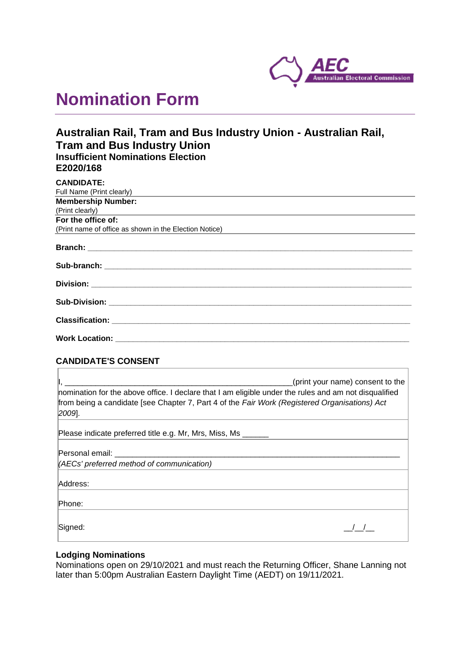

# **Nomination Form**

## **Australian Rail, Tram and Bus Industry Union - Australian Rail, Tram and Bus Industry Union Insufficient Nominations Election E2020/168**

| <b>CANDIDATE:</b>                                                                                  |
|----------------------------------------------------------------------------------------------------|
| Full Name (Print clearly)                                                                          |
| <b>Membership Number:</b>                                                                          |
| (Print clearly)<br><u> 1980 - Andrea Andrew Maria (h. 1980).</u><br>1901 - Andrew Maria (h. 1902). |
| For the office of:                                                                                 |
| (Print name of office as shown in the Election Notice)                                             |
|                                                                                                    |
|                                                                                                    |
|                                                                                                    |
| <b>Sub-Division: ______________________________</b>                                                |

**Classification: \_\_\_\_\_\_\_\_\_\_\_\_\_\_\_\_\_\_\_\_\_\_\_\_\_\_\_\_\_\_\_\_\_\_\_\_\_\_\_\_\_\_\_\_\_\_\_\_\_\_\_\_\_\_\_\_\_\_\_\_\_\_\_\_\_\_\_\_**

**Work Location: \_\_\_\_\_\_\_\_\_\_\_\_\_\_\_\_\_\_\_\_\_\_\_\_\_\_\_\_\_\_\_\_\_\_\_\_\_\_\_\_\_\_\_\_\_\_\_\_\_\_\_\_\_\_\_\_\_\_\_\_\_\_\_\_\_\_\_**

## **CANDIDATE'S CONSENT**

| (print your name) consent to the<br>nomination for the above office. I declare that I am eligible under the rules and am not disqualified<br>from being a candidate [see Chapter 7, Part 4 of the Fair Work (Registered Organisations) Act<br>$[2009]$ . |
|----------------------------------------------------------------------------------------------------------------------------------------------------------------------------------------------------------------------------------------------------------|
| Please indicate preferred title e.g. Mr, Mrs, Miss, Ms                                                                                                                                                                                                   |
| Personal email:                                                                                                                                                                                                                                          |
| (AECs' preferred method of communication)                                                                                                                                                                                                                |
| Address:                                                                                                                                                                                                                                                 |
| Phone:                                                                                                                                                                                                                                                   |
| Signed:                                                                                                                                                                                                                                                  |

## **Lodging Nominations**

Nominations open on 29/10/2021 and must reach the Returning Officer, Shane Lanning not later than 5:00pm Australian Eastern Daylight Time (AEDT) on 19/11/2021.